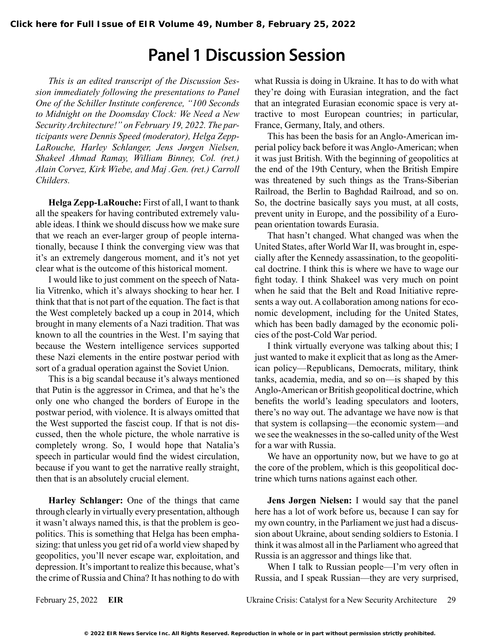# **Panel 1 Discussion Session**

*This is an edited transcript of the Discussion Session immediately following the presentations to Panel One of the Schiller Institute conference, "100 Seconds to Midnight on the Doomsday Clock: We Need a New Security Architecture!" on February 19, 2022. The participants were Dennis Speed (moderator), Helga Zepp-LaRouche, Harley Schlanger, Jens Jørgen Nielsen, Shakeel Ahmad Ramay, William Binney, Col. (ret.) Alain Corvez, Kirk Wiebe, and Maj .Gen. (ret.) Carroll Childers.*

**Helga Zepp-LaRouche:** First of all, I want to thank all the speakers for having contributed extremely valuable ideas. I think we should discuss how we make sure that we reach an ever-larger group of people internationally, because I think the converging view was that it's an extremely dangerous moment, and it's not yet clear what is the outcome of this historical moment.

I would like to just comment on the speech of Natalia Vitrenko, which it's always shocking to hear her. I think that that is not part of the equation. The fact is that the West completely backed up a coup in 2014, which brought in many elements of a Nazi tradition. That was known to all the countries in the West. I'm saying that because the Western intelligence services supported these Nazi elements in the entire postwar period with sort of a gradual operation against the Soviet Union.

This is a big scandal because it's always mentioned that Putin is the aggressor in Crimea, and that he's the only one who changed the borders of Europe in the postwar period, with violence. It is always omitted that the West supported the fascist coup. If that is not discussed, then the whole picture, the whole narrative is completely wrong. So, I would hope that Natalia's speech in particular would find the widest circulation, because if you want to get the narrative really straight, then that is an absolutely crucial element.

**Harley Schlanger:** One of the things that came through clearly in virtually every presentation, although it wasn't always named this, is that the problem is geopolitics. This is something that Helga has been emphasizing: that unless you get rid of a world view shaped by geopolitics, you'll never escape war, exploitation, and depression. It's important to realize this because, what's the crime of Russia and China? It has nothing to do with

what Russia is doing in Ukraine. It has to do with what they're doing with Eurasian integration, and the fact that an integrated Eurasian economic space is very attractive to most European countries; in particular, France, Germany, Italy, and others.

This has been the basis for an Anglo-American imperial policy back before it was Anglo-American; when it was just British. With the beginning of geopolitics at the end of the 19th Century, when the British Empire was threatened by such things as the Trans-Siberian Railroad, the Berlin to Baghdad Railroad, and so on. So, the doctrine basically says you must, at all costs, prevent unity in Europe, and the possibility of a European orientation towards Eurasia.

That hasn't changed. What changed was when the United States, after World War II, was brought in, especially after the Kennedy assassination, to the geopolitical doctrine. I think this is where we have to wage our fight today. I think Shakeel was very much on point when he said that the Belt and Road Initiative represents a way out. A collaboration among nations for economic development, including for the United States, which has been badly damaged by the economic policies of the post-Cold War period.

I think virtually everyone was talking about this; I just wanted to make it explicit that as long as the American policy—Republicans, Democrats, military, think tanks, academia, media, and so on—is shaped by this Anglo-American or British geopolitical doctrine, which benefits the world's leading speculators and looters, there's no way out. The advantage we have now is that that system is collapsing—the economic system—and we see the weaknesses in the so-called unity of the West for a war with Russia.

We have an opportunity now, but we have to go at the core of the problem, which is this geopolitical doctrine which turns nations against each other.

**Jens Jørgen Nielsen:** I would say that the panel here has a lot of work before us, because I can say for my own country, in the Parliament we just had a discussion about Ukraine, about sending soldiers to Estonia. I think it was almost all in the Parliament who agreed that Russia is an aggressor and things like that.

When I talk to Russian people—I'm very often in Russia, and I speak Russian—they are very surprised,

February 25, 2022 **EIR** Ukraine Crisis: Catalyst for a New Security Architecture 29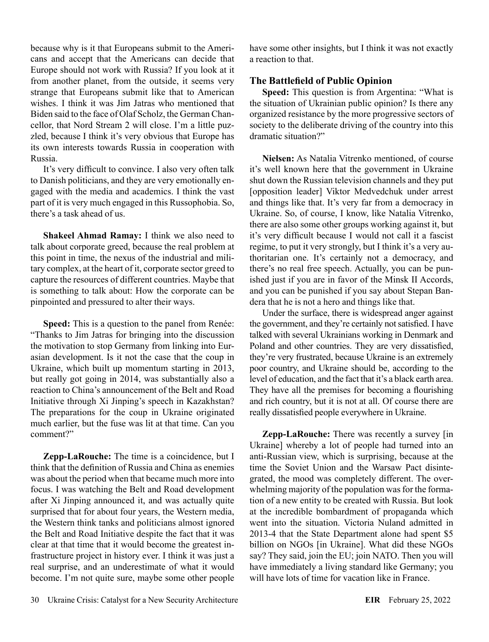because why is it that Europeans submit to the Americans and accept that the Americans can decide that Europe should not work with Russia? If you look at it from another planet, from the outside, it seems very strange that Europeans submit like that to American wishes. I think it was Jim Jatras who mentioned that Biden said to the face of Olaf Scholz, the German Chancellor, that Nord Stream 2 will close. I'm a little puzzled, because I think it's very obvious that Europe has its own interests towards Russia in cooperation with Russia.

It's very difficult to convince. I also very often talk to Danish politicians, and they are very emotionally engaged with the media and academics. I think the vast part of it is very much engaged in this Russophobia. So, there's a task ahead of us.

**Shakeel Ahmad Ramay:** I think we also need to talk about corporate greed, because the real problem at this point in time, the nexus of the industrial and military complex, at the heart of it, corporate sector greed to capture the resources of different countries. Maybe that is something to talk about: How the corporate can be pinpointed and pressured to alter their ways.

**Speed:** This is a question to the panel from Renée: "Thanks to Jim Jatras for bringing into the discussion the motivation to stop Germany from linking into Eurasian development. Is it not the case that the coup in Ukraine, which built up momentum starting in 2013, but really got going in 2014, was substantially also a reaction to China's announcement of the Belt and Road Initiative through Xi Jinping's speech in Kazakhstan? The preparations for the coup in Ukraine originated much earlier, but the fuse was lit at that time. Can you comment?"

**Zepp-LaRouche:** The time is a coincidence, but I think that the definition of Russia and China as enemies was about the period when that became much more into focus. I was watching the Belt and Road development after Xi Jinping announced it, and was actually quite surprised that for about four years, the Western media, the Western think tanks and politicians almost ignored the Belt and Road Initiative despite the fact that it was clear at that time that it would become the greatest infrastructure project in history ever. I think it was just a real surprise, and an underestimate of what it would become. I'm not quite sure, maybe some other people have some other insights, but I think it was not exactly a reaction to that.

## **The Battlefield of Public Opinion**

**Speed:** This question is from Argentina: "What is the situation of Ukrainian public opinion? Is there any organized resistance by the more progressive sectors of society to the deliberate driving of the country into this dramatic situation?"

**Nielsen:** As Natalia Vitrenko mentioned, of course it's well known here that the government in Ukraine shut down the Russian television channels and they put [opposition leader] Viktor Medvedchuk under arrest and things like that. It's very far from a democracy in Ukraine. So, of course, I know, like Natalia Vitrenko, there are also some other groups working against it, but it's very difficult because I would not call it a fascist regime, to put it very strongly, but I think it's a very authoritarian one. It's certainly not a democracy, and there's no real free speech. Actually, you can be punished just if you are in favor of the Minsk II Accords, and you can be punished if you say about Stepan Bandera that he is not a hero and things like that.

Under the surface, there is widespread anger against the government, and they're certainly not satisfied. I have talked with several Ukrainians working in Denmark and Poland and other countries. They are very dissatisfied, they're very frustrated, because Ukraine is an extremely poor country, and Ukraine should be, according to the level of education, and the fact that it's a black earth area. They have all the premises for becoming a flourishing and rich country, but it is not at all. Of course there are really dissatisfied people everywhere in Ukraine.

**Zepp-LaRouche:** There was recently a survey [in Ukraine] whereby a lot of people had turned into an anti-Russian view, which is surprising, because at the time the Soviet Union and the Warsaw Pact disintegrated, the mood was completely different. The overwhelming majority of the population was for the formation of a new entity to be created with Russia. But look at the incredible bombardment of propaganda which went into the situation. Victoria Nuland admitted in 2013-4 that the State Department alone had spent \$5 billion on NGOs [in Ukraine]. What did these NGOs say? They said, join the EU; join NATO. Then you will have immediately a living standard like Germany; you will have lots of time for vacation like in France.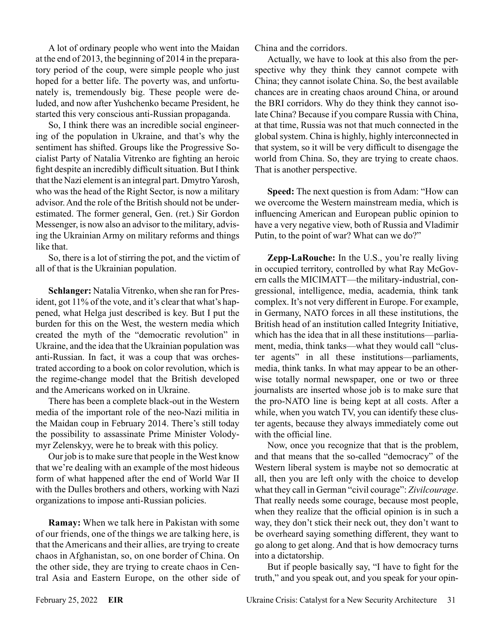A lot of ordinary people who went into the Maidan at the end of 2013, the beginning of 2014 in the preparatory period of the coup, were simple people who just hoped for a better life. The poverty was, and unfortunately is, tremendously big. These people were deluded, and now after Yushchenko became President, he started this very conscious anti-Russian propaganda.

So, I think there was an incredible social engineering of the population in Ukraine, and that's why the sentiment has shifted. Groups like the Progressive Socialist Party of Natalia Vitrenko are fighting an heroic fight despite an incredibly difficult situation. But I think that the Nazi element is an integral part. Dmytro Yarosh, who was the head of the Right Sector, is now a military advisor. And the role of the British should not be underestimated. The former general, Gen. (ret.) Sir Gordon Messenger, is now also an advisor to the military, advising the Ukrainian Army on military reforms and things like that.

So, there is a lot of stirring the pot, and the victim of all of that is the Ukrainian population.

**Schlanger:** Natalia Vitrenko, when she ran for President, got 11% of the vote, and it's clear that what's happened, what Helga just described is key. But I put the burden for this on the West, the western media which created the myth of the "democratic revolution" in Ukraine, and the idea that the Ukrainian population was anti-Russian. In fact, it was a coup that was orchestrated according to a book on color revolution, which is the regime-change model that the British developed and the Americans worked on in Ukraine.

There has been a complete black-out in the Western media of the important role of the neo-Nazi militia in the Maidan coup in February 2014. There's still today the possibility to assassinate Prime Minister Volodymyr Zelenskyy, were he to break with this policy.

Our job is to make sure that people in the West know that we're dealing with an example of the most hideous form of what happened after the end of World War II with the Dulles brothers and others, working with Nazi organizations to impose anti-Russian policies.

**Ramay:** When we talk here in Pakistan with some of our friends, one of the things we are talking here, is that the Americans and their allies, are trying to create chaos in Afghanistan, so, on one border of China. On the other side, they are trying to create chaos in Central Asia and Eastern Europe, on the other side of China and the corridors.

Actually, we have to look at this also from the perspective why they think they cannot compete with China; they cannot isolate China. So, the best available chances are in creating chaos around China, or around the BRI corridors. Why do they think they cannot isolate China? Because if you compare Russia with China, at that time, Russia was not that much connected in the global system. China is highly, highly interconnected in that system, so it will be very difficult to disengage the world from China. So, they are trying to create chaos. That is another perspective.

**Speed:** The next question is from Adam: "How can we overcome the Western mainstream media, which is influencing American and European public opinion to have a very negative view, both of Russia and Vladimir Putin, to the point of war? What can we do?"

**Zepp-LaRouche:** In the U.S., you're really living in occupied territory, controlled by what Ray McGovern calls the MICIMATT—the military-industrial, congressional, intelligence, media, academia, think tank complex. It's not very different in Europe. For example, in Germany, NATO forces in all these institutions, the British head of an institution called Integrity Initiative, which has the idea that in all these institutions—parliament, media, think tanks—what they would call "cluster agents" in all these institutions—parliaments, media, think tanks. In what may appear to be an otherwise totally normal newspaper, one or two or three journalists are inserted whose job is to make sure that the pro-NATO line is being kept at all costs. After a while, when you watch TV, you can identify these cluster agents, because they always immediately come out with the official line.

Now, once you recognize that that is the problem, and that means that the so-called "democracy" of the Western liberal system is maybe not so democratic at all, then you are left only with the choice to develop what they call in German "civil courage": *Zivilcourage*. That really needs some courage, because most people, when they realize that the official opinion is in such a way, they don't stick their neck out, they don't want to be overheard saying something different, they want to go along to get along. And that is how democracy turns into a dictatorship.

But if people basically say, "I have to fight for the truth," and you speak out, and you speak for your opin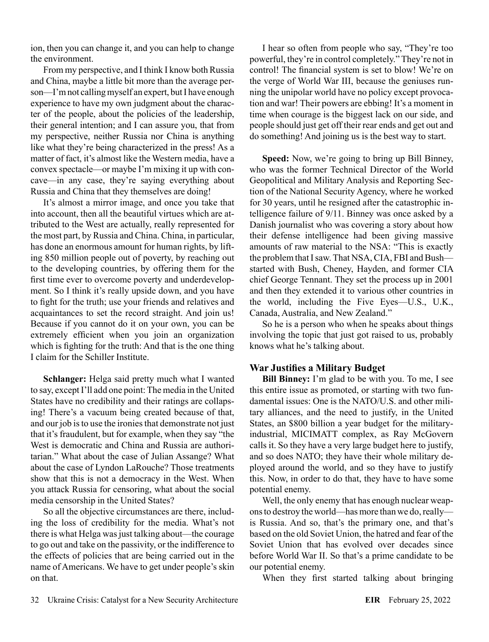ion, then you can change it, and you can help to change the environment.

From my perspective, and I think I know both Russia and China, maybe a little bit more than the average person—I'm not calling myself an expert, but I have enough experience to have my own judgment about the character of the people, about the policies of the leadership, their general intention; and I can assure you, that from my perspective, neither Russia nor China is anything like what they're being characterized in the press! As a matter of fact, it's almost like the Western media, have a convex spectacle—or maybe I'm mixing it up with concave—in any case, they're saying everything about Russia and China that they themselves are doing!

It's almost a mirror image, and once you take that into account, then all the beautiful virtues which are attributed to the West are actually, really represented for the most part, by Russia and China. China, in particular, has done an enormous amount for human rights, by lifting 850 million people out of poverty, by reaching out to the developing countries, by offering them for the first time ever to overcome poverty and underdevelopment. So I think it's really upside down, and you have to fight for the truth; use your friends and relatives and acquaintances to set the record straight. And join us! Because if you cannot do it on your own, you can be extremely efficient when you join an organization which is fighting for the truth: And that is the one thing I claim for the Schiller Institute.

**Schlanger:** Helga said pretty much what I wanted to say, except I'll add one point: The media in the United States have no credibility and their ratings are collapsing! There's a vacuum being created because of that, and our job is to use the ironies that demonstrate not just that it's fraudulent, but for example, when they say "the West is democratic and China and Russia are authoritarian." What about the case of Julian Assange? What about the case of Lyndon LaRouche? Those treatments show that this is not a democracy in the West. When you attack Russia for censoring, what about the social media censorship in the United States?

So all the objective circumstances are there, including the loss of credibility for the media. What's not there is what Helga was just talking about—the courage to go out and take on the passivity, or the indifference to the effects of policies that are being carried out in the name of Americans. We have to get under people's skin on that.

I hear so often from people who say, "They're too powerful, they're in control completely." They're not in control! The financial system is set to blow! We're on the verge of World War III, because the geniuses running the unipolar world have no policy except provocation and war! Their powers are ebbing! It's a moment in time when courage is the biggest lack on our side, and people should just get off their rear ends and get out and do something! And joining us is the best way to start.

**Speed:** Now, we're going to bring up Bill Binney, who was the former Technical Director of the World Geopolitical and Military Analysis and Reporting Section of the National Security Agency, where he worked for 30 years, until he resigned after the catastrophic intelligence failure of 9/11. Binney was once asked by a Danish journalist who was covering a story about how their defense intelligence had been giving massive amounts of raw material to the NSA: "This is exactly the problem that I saw. That NSA, CIA, FBI and Bush started with Bush, Cheney, Hayden, and former CIA chief George Tennant. They set the process up in 2001 and then they extended it to various other countries in the world, including the Five Eyes—U.S., U.K., Canada, Australia, and New Zealand."

So he is a person who when he speaks about things involving the topic that just got raised to us, probably knows what he's talking about.

#### **War Justifies a Military Budget**

**Bill Binney:** I'm glad to be with you. To me, I see this entire issue as promoted, or starting with two fundamental issues: One is the NATO/U.S. and other military alliances, and the need to justify, in the United States, an \$800 billion a year budget for the militaryindustrial, MICIMATT complex, as Ray McGovern calls it. So they have a very large budget here to justify, and so does NATO; they have their whole military deployed around the world, and so they have to justify this. Now, in order to do that, they have to have some potential enemy.

Well, the only enemy that has enough nuclear weapons to destroy the world—has more than we do, really is Russia. And so, that's the primary one, and that's based on the old Soviet Union, the hatred and fear of the Soviet Union that has evolved over decades since before World War II. So that's a prime candidate to be our potential enemy.

When they first started talking about bringing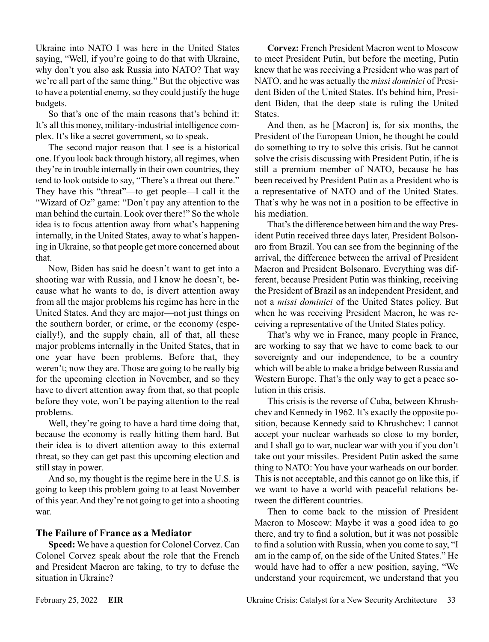Ukraine into NATO I was here in the United States saying, "Well, if you're going to do that with Ukraine, why don't you also ask Russia into NATO? That way we're all part of the same thing." But the objective was to have a potential enemy, so they could justify the huge budgets.

So that's one of the main reasons that's behind it: It's all this money, military-industrial intelligence complex. It's like a secret government, so to speak.

The second major reason that I see is a historical one. If you look back through history, all regimes, when they're in trouble internally in their own countries, they tend to look outside to say, "There's a threat out there." They have this "threat"—to get people—I call it the "Wizard of Oz" game: "Don't pay any attention to the man behind the curtain. Look over there!" So the whole idea is to focus attention away from what's happening internally, in the United States, away to what's happening in Ukraine, so that people get more concerned about that.

Now, Biden has said he doesn't want to get into a shooting war with Russia, and I know he doesn't, because what he wants to do, is divert attention away from all the major problems his regime has here in the United States. And they are major—not just things on the southern border, or crime, or the economy (especially!), and the supply chain, all of that, all these major problems internally in the United States, that in one year have been problems. Before that, they weren't; now they are. Those are going to be really big for the upcoming election in November, and so they have to divert attention away from that, so that people before they vote, won't be paying attention to the real problems.

Well, they're going to have a hard time doing that, because the economy is really hitting them hard. But their idea is to divert attention away to this external threat, so they can get past this upcoming election and still stay in power.

And so, my thought is the regime here in the U.S. is going to keep this problem going to at least November of this year. And they're not going to get into a shooting war.

#### **The Failure of France as a Mediator**

**Speed:** We have a question for Colonel Corvez. Can Colonel Corvez speak about the role that the French and President Macron are taking, to try to defuse the situation in Ukraine?

**Corvez:** French President Macron went to Moscow to meet President Putin, but before the meeting, Putin knew that he was receiving a President who was part of NATO, and he was actually the *missi dominici* of President Biden of the United States. It's behind him, President Biden, that the deep state is ruling the United States.

And then, as he [Macron] is, for six months, the President of the European Union, he thought he could do something to try to solve this crisis. But he cannot solve the crisis discussing with President Putin, if he is still a premium member of NATO, because he has been received by President Putin as a President who is a representative of NATO and of the United States. That's why he was not in a position to be effective in his mediation.

That's the difference between him and the way President Putin received three days later, President Bolsonaro from Brazil. You can see from the beginning of the arrival, the difference between the arrival of President Macron and President Bolsonaro. Everything was different, because President Putin was thinking, receiving the President of Brazil as an independent President, and not a *missi dominici* of the United States policy. But when he was receiving President Macron, he was receiving a representative of the United States policy.

That's why we in France, many people in France, are working to say that we have to come back to our sovereignty and our independence, to be a country which will be able to make a bridge between Russia and Western Europe. That's the only way to get a peace solution in this crisis.

This crisis is the reverse of Cuba, between Khrushchev and Kennedy in 1962. It's exactly the opposite position, because Kennedy said to Khrushchev: I cannot accept your nuclear warheads so close to my border, and I shall go to war, nuclear war with you if you don't take out your missiles. President Putin asked the same thing to NATO: You have your warheads on our border. This is not acceptable, and this cannot go on like this, if we want to have a world with peaceful relations between the different countries.

Then to come back to the mission of President Macron to Moscow: Maybe it was a good idea to go there, and try to find a solution, but it was not possible to find a solution with Russia, when you come to say, "I am in the camp of, on the side of the United States." He would have had to offer a new position, saying, "We understand your requirement, we understand that you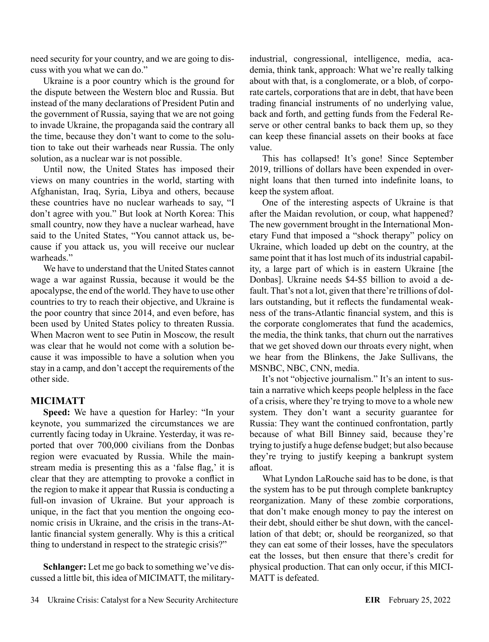need security for your country, and we are going to discuss with you what we can do."

Ukraine is a poor country which is the ground for the dispute between the Western bloc and Russia. But instead of the many declarations of President Putin and the government of Russia, saying that we are not going to invade Ukraine, the propaganda said the contrary all the time, because they don't want to come to the solution to take out their warheads near Russia. The only solution, as a nuclear war is not possible.

Until now, the United States has imposed their views on many countries in the world, starting with Afghanistan, Iraq, Syria, Libya and others, because these countries have no nuclear warheads to say, "I don't agree with you." But look at North Korea: This small country, now they have a nuclear warhead, have said to the United States, "You cannot attack us, because if you attack us, you will receive our nuclear warheads."

We have to understand that the United States cannot wage a war against Russia, because it would be the apocalypse, the end of the world. They have to use other countries to try to reach their objective, and Ukraine is the poor country that since 2014, and even before, has been used by United States policy to threaten Russia. When Macron went to see Putin in Moscow, the result was clear that he would not come with a solution because it was impossible to have a solution when you stay in a camp, and don't accept the requirements of the other side.

# **MICIMATT**

**Speed:** We have a question for Harley: "In your keynote, you summarized the circumstances we are currently facing today in Ukraine. Yesterday, it was reported that over 700,000 civilians from the Donbas region were evacuated by Russia. While the mainstream media is presenting this as a 'false flag,' it is clear that they are attempting to provoke a conflict in the region to make it appear that Russia is conducting a full-on invasion of Ukraine. But your approach is unique, in the fact that you mention the ongoing economic crisis in Ukraine, and the crisis in the trans-Atlantic financial system generally. Why is this a critical thing to understand in respect to the strategic crisis?"

**Schlanger:** Let me go back to something we've discussed a little bit, this idea of MICIMATT, the militaryindustrial, congressional, intelligence, media, academia, think tank, approach: What we're really talking about with that, is a conglomerate, or a blob, of corporate cartels, corporations that are in debt, that have been trading financial instruments of no underlying value, back and forth, and getting funds from the Federal Reserve or other central banks to back them up, so they can keep these financial assets on their books at face value.

This has collapsed! It's gone! Since September 2019, trillions of dollars have been expended in overnight loans that then turned into indefinite loans, to keep the system afloat.

One of the interesting aspects of Ukraine is that after the Maidan revolution, or coup, what happened? The new government brought in the International Monetary Fund that imposed a "shock therapy" policy on Ukraine, which loaded up debt on the country, at the same point that it has lost much of its industrial capability, a large part of which is in eastern Ukraine [the Donbas]. Ukraine needs \$4-\$5 billion to avoid a default. That's not a lot, given that there're trillions of dollars outstanding, but it reflects the fundamental weakness of the trans-Atlantic financial system, and this is the corporate conglomerates that fund the academics, the media, the think tanks, that churn out the narratives that we get shoved down our throats every night, when we hear from the Blinkens, the Jake Sullivans, the MSNBC, NBC, CNN, media.

It's not "objective journalism." It's an intent to sustain a narrative which keeps people helpless in the face of a crisis, where they're trying to move to a whole new system. They don't want a security guarantee for Russia: They want the continued confrontation, partly because of what Bill Binney said, because they're trying to justify a huge defense budget; but also because they're trying to justify keeping a bankrupt system afloat.

What Lyndon LaRouche said has to be done, is that the system has to be put through complete bankruptcy reorganization. Many of these zombie corporations, that don't make enough money to pay the interest on their debt, should either be shut down, with the cancellation of that debt; or, should be reorganized, so that they can eat some of their losses, have the speculators eat the losses, but then ensure that there's credit for physical production. That can only occur, if this MICI-MATT is defeated.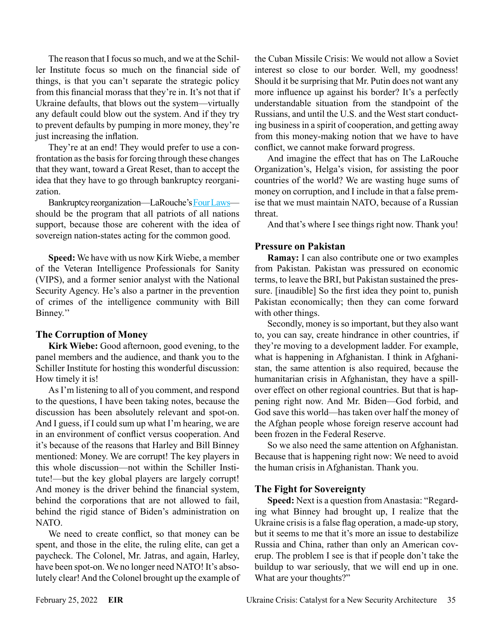The reason that I focus so much, and we at the Schiller Institute focus so much on the financial side of things, is that you can't separate the strategic policy from this financial morass that they're in. It's not that if Ukraine defaults, that blows out the system—virtually any default could blow out the system. And if they try to prevent defaults by pumping in more money, they're just increasing the inflation.

They're at an end! They would prefer to use a confrontation as the basis for forcing through these changes that they want, toward a Great Reset, than to accept the idea that they have to go through bankruptcy reorganization.

Bankruptcy reorganization—LaRouche's [Four Laws](https://larouchepub.com/lar/2014/4124four_laws.html) should be the program that all patriots of all nations support, because those are coherent with the idea of sovereign nation-states acting for the common good.

**Speed:** We have with us now Kirk Wiebe, a member of the Veteran Intelligence Professionals for Sanity (VIPS), and a former senior analyst with the National Security Agency. He's also a partner in the prevention of crimes of the intelligence community with Bill Binney.''

#### **The Corruption of Money**

**Kirk Wiebe:** Good afternoon, good evening, to the panel members and the audience, and thank you to the Schiller Institute for hosting this wonderful discussion: How timely it is!

As I'm listening to all of you comment, and respond to the questions, I have been taking notes, because the discussion has been absolutely relevant and spot-on. And I guess, if I could sum up what I'm hearing, we are in an environment of conflict versus cooperation. And it's because of the reasons that Harley and Bill Binney mentioned: Money. We are corrupt! The key players in this whole discussion—not within the Schiller Institute!—but the key global players are largely corrupt! And money is the driver behind the financial system, behind the corporations that are not allowed to fail, behind the rigid stance of Biden's administration on NATO.

We need to create conflict, so that money can be spent, and those in the elite, the ruling elite, can get a paycheck. The Colonel, Mr. Jatras, and again, Harley, have been spot-on. We no longer need NATO! It's absolutely clear! And the Colonel brought up the example of the Cuban Missile Crisis: We would not allow a Soviet interest so close to our border. Well, my goodness! Should it be surprising that Mr. Putin does not want any more influence up against his border? It's a perfectly understandable situation from the standpoint of the Russians, and until the U.S. and the West start conducting business in a spirit of cooperation, and getting away from this money-making notion that we have to have conflict, we cannot make forward progress.

And imagine the effect that has on The LaRouche Organization's, Helga's vision, for assisting the poor countries of the world? We are wasting huge sums of money on corruption, and I include in that a false premise that we must maintain NATO, because of a Russian threat.

And that's where I see things right now. Thank you!

### **Pressure on Pakistan**

**Ramay:** I can also contribute one or two examples from Pakistan. Pakistan was pressured on economic terms, to leave the BRI, but Pakistan sustained the pressure. [inaudible] So the first idea they point to, punish Pakistan economically; then they can come forward with other things.

Secondly, money is so important, but they also want to, you can say, create hindrance in other countries, if they're moving to a development ladder. For example, what is happening in Afghanistan. I think in Afghanistan, the same attention is also required, because the humanitarian crisis in Afghanistan, they have a spillover effect on other regional countries. But that is happening right now. And Mr. Biden—God forbid, and God save this world—has taken over half the money of the Afghan people whose foreign reserve account had been frozen in the Federal Reserve.

So we also need the same attention on Afghanistan. Because that is happening right now: We need to avoid the human crisis in Afghanistan. Thank you.

#### **The Fight for Sovereignty**

**Speed:** Next is a question from Anastasia: "Regarding what Binney had brought up, I realize that the Ukraine crisis is a false flag operation, a made-up story, but it seems to me that it's more an issue to destabilize Russia and China, rather than only an American coverup. The problem I see is that if people don't take the buildup to war seriously, that we will end up in one. What are your thoughts?"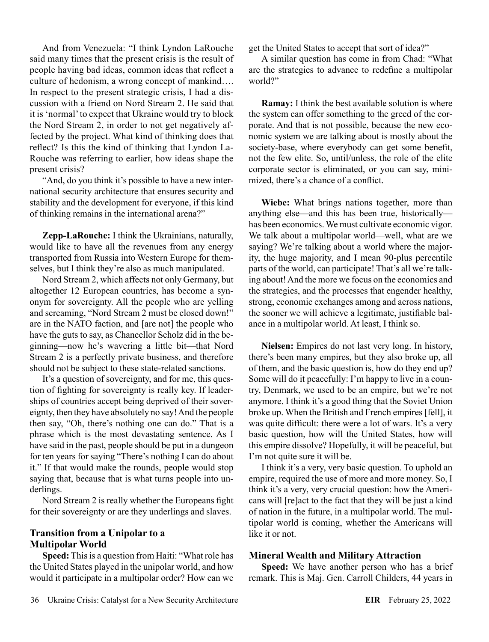And from Venezuela: "I think Lyndon LaRouche said many times that the present crisis is the result of people having bad ideas, common ideas that reflect a culture of hedonism, a wrong concept of mankind…. In respect to the present strategic crisis, I had a discussion with a friend on Nord Stream 2. He said that it is 'normal' to expect that Ukraine would try to block the Nord Stream 2, in order to not get negatively affected by the project. What kind of thinking does that reflect? Is this the kind of thinking that Lyndon La-Rouche was referring to earlier, how ideas shape the present crisis?

"And, do you think it's possible to have a new international security architecture that ensures security and stability and the development for everyone, if this kind of thinking remains in the international arena?"

**Zepp-LaRouche:** I think the Ukrainians, naturally, would like to have all the revenues from any energy transported from Russia into Western Europe for themselves, but I think they're also as much manipulated.

Nord Stream 2, which affects not only Germany, but altogether 12 European countries, has become a synonym for sovereignty. All the people who are yelling and screaming, "Nord Stream 2 must be closed down!" are in the NATO faction, and [are not] the people who have the guts to say, as Chancellor Scholz did in the beginning—now he's wavering a little bit—that Nord Stream 2 is a perfectly private business, and therefore should not be subject to these state-related sanctions.

It's a question of sovereignty, and for me, this question of fighting for sovereignty is really key. If leaderships of countries accept being deprived of their sovereignty, then they have absolutely no say! And the people then say, "Oh, there's nothing one can do." That is a phrase which is the most devastating sentence. As I have said in the past, people should be put in a dungeon for ten years for saying "There's nothing I can do about it." If that would make the rounds, people would stop saying that, because that is what turns people into underlings.

Nord Stream 2 is really whether the Europeans fight for their sovereignty or are they underlings and slaves.

#### **Transition from a Unipolar to a Multipolar World**

**Speed:** This is a question from Haiti: "What role has the United States played in the unipolar world, and how would it participate in a multipolar order? How can we get the United States to accept that sort of idea?"

A similar question has come in from Chad: "What are the strategies to advance to redefine a multipolar world?"

**Ramay:** I think the best available solution is where the system can offer something to the greed of the corporate. And that is not possible, because the new economic system we are talking about is mostly about the society-base, where everybody can get some benefit, not the few elite. So, until/unless, the role of the elite corporate sector is eliminated, or you can say, minimized, there's a chance of a conflict.

**Wiebe:** What brings nations together, more than anything else—and this has been true, historically has been economics. We must cultivate economic vigor. We talk about a multipolar world—well, what are we saying? We're talking about a world where the majority, the huge majority, and I mean 90-plus percentile parts of the world, can participate! That's all we're talking about! And the more we focus on the economics and the strategies, and the processes that engender healthy, strong, economic exchanges among and across nations, the sooner we will achieve a legitimate, justifiable balance in a multipolar world. At least, I think so.

**Nielsen:** Empires do not last very long. In history, there's been many empires, but they also broke up, all of them, and the basic question is, how do they end up? Some will do it peacefully: I'm happy to live in a country, Denmark, we used to be an empire, but we're not anymore. I think it's a good thing that the Soviet Union broke up. When the British and French empires [fell], it was quite difficult: there were a lot of wars. It's a very basic question, how will the United States, how will this empire dissolve? Hopefully, it will be peaceful, but I'm not quite sure it will be.

I think it's a very, very basic question. To uphold an empire, required the use of more and more money. So, I think it's a very, very crucial question: how the Americans will [re]act to the fact that they will be just a kind of nation in the future, in a multipolar world. The multipolar world is coming, whether the Americans will like it or not.

#### **Mineral Wealth and Military Attraction**

**Speed:** We have another person who has a brief remark. This is Maj. Gen. Carroll Childers, 44 years in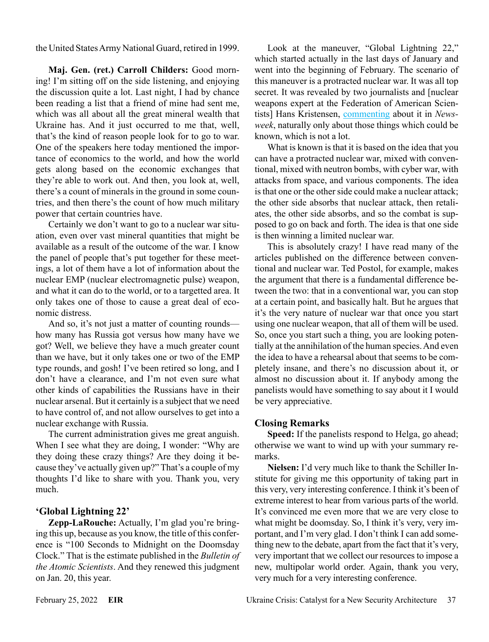the United States Army National Guard, retired in 1999.

**Maj. Gen. (ret.) Carroll Childers:** Good morning! I'm sitting off on the side listening, and enjoying the discussion quite a lot. Last night, I had by chance been reading a list that a friend of mine had sent me, which was all about all the great mineral wealth that Ukraine has. And it just occurred to me that, well, that's the kind of reason people look for to go to war. One of the speakers here today mentioned the importance of economics to the world, and how the world gets along based on the economic exchanges that they're able to work out. And then, you look at, well, there's a count of minerals in the ground in some countries, and then there's the count of how much military power that certain countries have.

Certainly we don't want to go to a nuclear war situation, even over vast mineral quantities that might be available as a result of the outcome of the war. I know the panel of people that's put together for these meetings, a lot of them have a lot of information about the nuclear EMP (nuclear electromagnetic pulse) weapon, and what it can do to the world, or to a targetted area. It only takes one of those to cause a great deal of economic distress.

And so, it's not just a matter of counting rounds how many has Russia got versus how many have we got? Well, we believe they have a much greater count than we have, but it only takes one or two of the EMP type rounds, and gosh! I've been retired so long, and I don't have a clearance, and I'm not even sure what other kinds of capabilities the Russians have in their nuclear arsenal. But it certainly is a subject that we need to have control of, and not allow ourselves to get into a nuclear exchange with Russia.

The current administration gives me great anguish. When I see what they are doing, I wonder: "Why are they doing these crazy things? Are they doing it because they've actually given up?" That's a couple of my thoughts I'd like to share with you. Thank you, very much.

#### **'Global Lightning 22'**

**Zepp-LaRouche:** Actually, I'm glad you're bringing this up, because as you know, the title of this conference is "100 Seconds to Midnight on the Doomsday Clock." That is the estimate published in the *Bulletin of the Atomic Scientists*. And they renewed this judgment on Jan. 20, this year.

Look at the maneuver, "Global Lightning 22," which started actually in the last days of January and went into the beginning of February. The scenario of this maneuver is a protracted nuclear war. It was all top secret. It was revealed by two journalists and [nuclear weapons expert at the Federation of American Scientists] Hans Kristensen, [commenting](https://www.newsweek.com/exclusive-ukraine-crisis-could-lead-nuclear-war-under-new-strategy-1676022) about it in *Newsweek*, naturally only about those things which could be known, which is not a lot.

What is known is that it is based on the idea that you can have a protracted nuclear war, mixed with conventional, mixed with neutron bombs, with cyber war, with attacks from space, and various components. The idea is that one or the other side could make a nuclear attack; the other side absorbs that nuclear attack, then retaliates, the other side absorbs, and so the combat is supposed to go on back and forth. The idea is that one side is then winning a limited nuclear war.

This is absolutely crazy! I have read many of the articles published on the difference between conventional and nuclear war. Ted Postol, for example, makes the argument that there is a fundamental difference between the two: that in a conventional war, you can stop at a certain point, and basically halt. But he argues that it's the very nature of nuclear war that once you start using one nuclear weapon, that all of them will be used. So, once you start such a thing, you are looking potentially at the annihilation of the human species. And even the idea to have a rehearsal about that seems to be completely insane, and there's no discussion about it, or almost no discussion about it. If anybody among the panelists would have something to say about it I would be very appreciative.

#### **Closing Remarks**

**Speed:** If the panelists respond to Helga, go ahead; otherwise we want to wind up with your summary remarks.

**Nielsen:** I'd very much like to thank the Schiller Institute for giving me this opportunity of taking part in this very, very interesting conference. I think it's been of extreme interest to hear from various parts of the world. It's convinced me even more that we are very close to what might be doomsday. So, I think it's very, very important, and I'm very glad. I don't think I can add something new to the debate, apart from the fact that it's very, very important that we collect our resources to impose a new, multipolar world order. Again, thank you very, very much for a very interesting conference.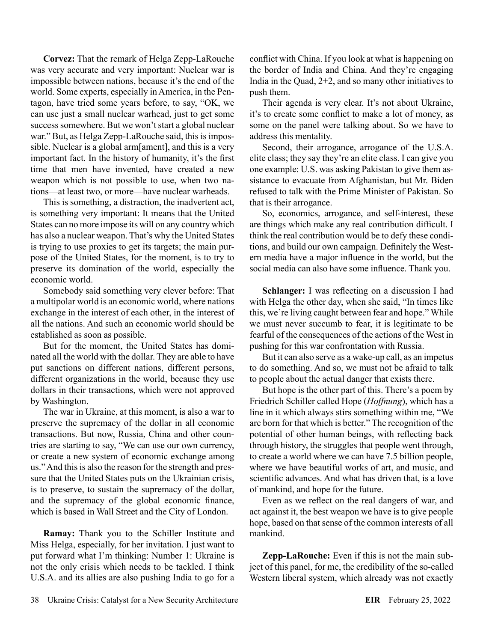**Corvez:** That the remark of Helga Zepp-LaRouche was very accurate and very important: Nuclear war is impossible between nations, because it's the end of the world. Some experts, especially in America, in the Pentagon, have tried some years before, to say, "OK, we can use just a small nuclear warhead, just to get some success somewhere. But we won't start a global nuclear war." But, as Helga Zepp-LaRouche said, this is impossible. Nuclear is a global arm[ament], and this is a very important fact. In the history of humanity, it's the first time that men have invented, have created a new weapon which is not possible to use, when two nations—at least two, or more—have nuclear warheads.

This is something, a distraction, the inadvertent act, is something very important: It means that the United States can no more impose its will on any country which has also a nuclear weapon. That's why the United States is trying to use proxies to get its targets; the main purpose of the United States, for the moment, is to try to preserve its domination of the world, especially the economic world.

Somebody said something very clever before: That a multipolar world is an economic world, where nations exchange in the interest of each other, in the interest of all the nations. And such an economic world should be established as soon as possible.

But for the moment, the United States has dominated all the world with the dollar. They are able to have put sanctions on different nations, different persons, different organizations in the world, because they use dollars in their transactions, which were not approved by Washington.

The war in Ukraine, at this moment, is also a war to preserve the supremacy of the dollar in all economic transactions. But now, Russia, China and other countries are starting to say, "We can use our own currency, or create a new system of economic exchange among us." And this is also the reason for the strength and pressure that the United States puts on the Ukrainian crisis, is to preserve, to sustain the supremacy of the dollar, and the supremacy of the global economic finance, which is based in Wall Street and the City of London.

**Ramay:** Thank you to the Schiller Institute and Miss Helga, especially, for her invitation. I just want to put forward what I'm thinking: Number 1: Ukraine is not the only crisis which needs to be tackled. I think U.S.A. and its allies are also pushing India to go for a conflict with China. If you look at what is happening on the border of India and China. And they're engaging India in the Quad, 2+2, and so many other initiatives to push them.

Their agenda is very clear. It's not about Ukraine, it's to create some conflict to make a lot of money, as some on the panel were talking about. So we have to address this mentality.

Second, their arrogance, arrogance of the U.S.A. elite class; they say they're an elite class. I can give you one example: U.S. was asking Pakistan to give them assistance to evacuate from Afghanistan, but Mr. Biden refused to talk with the Prime Minister of Pakistan. So that is their arrogance.

So, economics, arrogance, and self-interest, these are things which make any real contribution difficult. I think the real contribution would be to defy these conditions, and build our own campaign. Definitely the Western media have a major influence in the world, but the social media can also have some influence. Thank you.

**Schlanger:** I was reflecting on a discussion I had with Helga the other day, when she said, "In times like this, we're living caught between fear and hope." While we must never succumb to fear, it is legitimate to be fearful of the consequences of the actions of the West in pushing for this war confrontation with Russia.

But it can also serve as a wake-up call, as an impetus to do something. And so, we must not be afraid to talk to people about the actual danger that exists there.

But hope is the other part of this. There's a poem by Friedrich Schiller called Hope (*Hoffnung*), which has a line in it which always stirs something within me, "We are born for that which is better." The recognition of the potential of other human beings, with reflecting back through history, the struggles that people went through, to create a world where we can have 7.5 billion people, where we have beautiful works of art, and music, and scientific advances. And what has driven that, is a love of mankind, and hope for the future.

Even as we reflect on the real dangers of war, and act against it, the best weapon we have is to give people hope, based on that sense of the common interests of all mankind.

**Zepp-LaRouche:** Even if this is not the main subject of this panel, for me, the credibility of the so-called Western liberal system, which already was not exactly